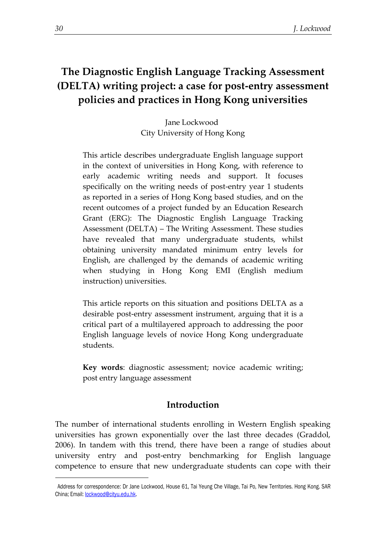# **The Diagnostic English Language Tracking Assessment (DELTA) writing project: a case for post-entry assessment policies and practices in Hong Kong universities**

Jane Lockwood City University of Hong Kong

This article describes undergraduate English language support in the context of universities in Hong Kong, with reference to early academic writing needs and support. It focuses specifically on the writing needs of post-entry year 1 students as reported in a series of Hong Kong based studies, and on the recent outcomes of a project funded by an Education Research Grant (ERG): The Diagnostic English Language Tracking Assessment (DELTA) – The Writing Assessment. These studies have revealed that many undergraduate students, whilst obtaining university mandated minimum entry levels for English, are challenged by the demands of academic writing when studying in Hong Kong EMI (English medium instruction) universities.

This article reports on this situation and positions DELTA as a desirable post-entry assessment instrument, arguing that it is a critical part of a multilayered approach to addressing the poor English language levels of novice Hong Kong undergraduate students.

**Key words**: diagnostic assessment; novice academic writing; post entry language assessment

# **Introduction**

The number of international students enrolling in Western English speaking universities has grown exponentially over the last three decades (Graddol, 2006). In tandem with this trend, there have been a range of studies about university entry and post-entry benchmarking for English language competence to ensure that new undergraduate students can cope with their

1

<sup>1</sup> Address for correspondence: Dr Jane Lockwood, House 61, Tai Yeung Che Village, Tai Po, New Territories. Hong Kong. SAR China; Email[: lockwood@cityu.edu.hk.](mailto:lockwood@cityu.edu.hk)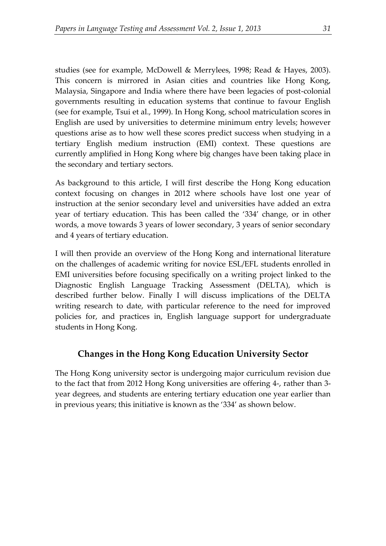studies (see for example, McDowell & Merrylees, 1998; Read & Hayes, 2003). This concern is mirrored in Asian cities and countries like Hong Kong, Malaysia, Singapore and India where there have been legacies of post-colonial governments resulting in education systems that continue to favour English (see for example, Tsui et al., 1999). In Hong Kong, school matriculation scores in English are used by universities to determine minimum entry levels; however questions arise as to how well these scores predict success when studying in a tertiary English medium instruction (EMI) context. These questions are currently amplified in Hong Kong where big changes have been taking place in the secondary and tertiary sectors.

As background to this article, I will first describe the Hong Kong education context focusing on changes in 2012 where schools have lost one year of instruction at the senior secondary level and universities have added an extra year of tertiary education. This has been called the '334' change, or in other words, a move towards 3 years of lower secondary, 3 years of senior secondary and 4 years of tertiary education.

I will then provide an overview of the Hong Kong and international literature on the challenges of academic writing for novice ESL/EFL students enrolled in EMI universities before focusing specifically on a writing project linked to the Diagnostic English Language Tracking Assessment (DELTA), which is described further below. Finally I will discuss implications of the DELTA writing research to date, with particular reference to the need for improved policies for, and practices in, English language support for undergraduate students in Hong Kong.

# **Changes in the Hong Kong Education University Sector**

The Hong Kong university sector is undergoing major curriculum revision due to the fact that from 2012 Hong Kong universities are offering 4-, rather than 3 year degrees, and students are entering tertiary education one year earlier than in previous years; this initiative is known as the '334' as shown below.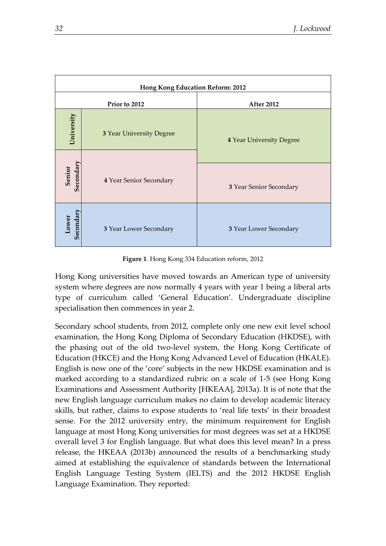| Hong Kong Education Reform: 2012 |                                 |                                 |
|----------------------------------|---------------------------------|---------------------------------|
| Prior to 2012                    |                                 | <b>After 2012</b>               |
| University                       | <b>3 Year University Degree</b> | <b>4 Year University Degree</b> |
|                                  |                                 |                                 |
| Secondary<br>Senior              | 4 Year Senior Secondary         | 3 Year Senior Secondary         |
| Secondary<br>Lower               | 3 Year Lower Secondary          | 3 Year Lower Secondary          |

**Figure 1**. Hong Kong 334 Education reform, 2012

Hong Kong universities have moved towards an American type of university system where degrees are now normally 4 years with year 1 being a liberal arts type of curriculum called 'General Education'. Undergraduate discipline specialisation then commences in year 2.

Secondary school students, from 2012, complete only one new exit level school examination, the Hong Kong Diploma of Secondary Education (HKDSE), with the phasing out of the old two-level system, the Hong Kong Certificate of Education (HKCE) and the Hong Kong Advanced Level of Education (HKALE). English is now one of the 'core' subjects in the new HKDSE examination and is marked according to a standardized rubric on a scale of 1-5 (see Hong Kong Examinations and Assessment Authority [HKEAA], 2013a). It is of note that the new English language curriculum makes no claim to develop academic literacy skills, but rather, claims to expose students to 'real life texts' in their broadest sense. For the 2012 university entry, the minimum requirement for English language at most Hong Kong universities for most degrees was set at a HKDSE overall level 3 for English language. But what does this level mean? In a press release, the HKEAA (2013b) announced the results of a benchmarking study aimed at establishing the equivalence of standards between the International English Language Testing System (IELTS) and the 2012 HKDSE English Language Examination. They reported: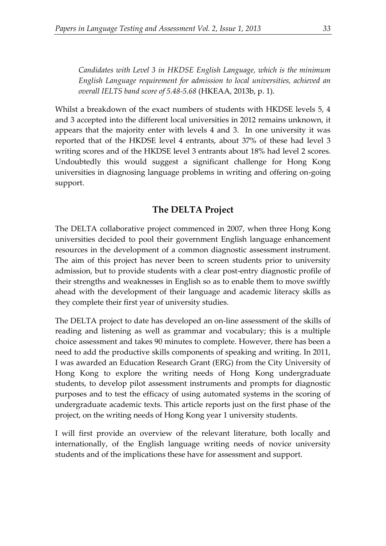*Candidates with Level 3 in HKDSE English Language, which is the minimum English Language requirement for admission to local universities, achieved an overall IELTS band score of 5.48-5.68* (HKEAA, 2013b, p. 1).

Whilst a breakdown of the exact numbers of students with HKDSE levels 5, 4 and 3 accepted into the different local universities in 2012 remains unknown, it appears that the majority enter with levels 4 and 3. In one university it was reported that of the HKDSE level 4 entrants, about 37% of these had level 3 writing scores and of the HKDSE level 3 entrants about 18% had level 2 scores. Undoubtedly this would suggest a significant challenge for Hong Kong universities in diagnosing language problems in writing and offering on-going support.

# **The DELTA Project**

The DELTA collaborative project commenced in 2007, when three Hong Kong universities decided to pool their government English language enhancement resources in the development of a common diagnostic assessment instrument. The aim of this project has never been to screen students prior to university admission, but to provide students with a clear post-entry diagnostic profile of their strengths and weaknesses in English so as to enable them to move swiftly ahead with the development of their language and academic literacy skills as they complete their first year of university studies.

The DELTA project to date has developed an on-line assessment of the skills of reading and listening as well as grammar and vocabulary; this is a multiple choice assessment and takes 90 minutes to complete. However, there has been a need to add the productive skills components of speaking and writing. In 2011, I was awarded an Education Research Grant (ERG) from the City University of Hong Kong to explore the writing needs of Hong Kong undergraduate students, to develop pilot assessment instruments and prompts for diagnostic purposes and to test the efficacy of using automated systems in the scoring of undergraduate academic texts. This article reports just on the first phase of the project, on the writing needs of Hong Kong year 1 university students.

I will first provide an overview of the relevant literature, both locally and internationally, of the English language writing needs of novice university students and of the implications these have for assessment and support.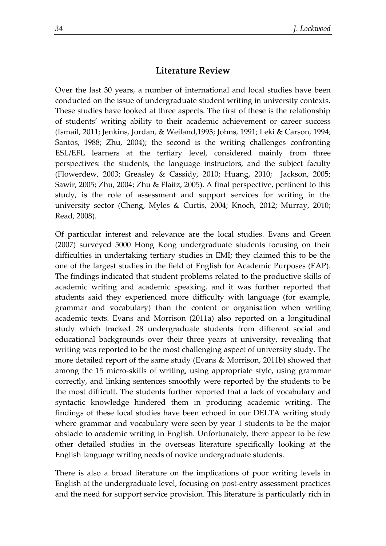# **Literature Review**

Over the last 30 years, a number of international and local studies have been conducted on the issue of undergraduate student writing in university contexts. These studies have looked at three aspects. The first of these is the relationship of students' writing ability to their academic achievement or career success (Ismail, 2011; Jenkins, Jordan, & Weiland,1993; Johns, 1991; Leki & Carson, 1994; Santos, 1988; Zhu, 2004); the second is the writing challenges confronting ESL/EFL learners at the tertiary level, considered mainly from three perspectives: the students, the language instructors, and the subject faculty (Flowerdew, 2003; Greasley & Cassidy, 2010; Huang, 2010; Jackson, 2005; Sawir, 2005; Zhu, 2004; Zhu & Flaitz, 2005). A final perspective, pertinent to this study, is the role of assessment and support services for writing in the university sector (Cheng, Myles & Curtis, 2004; Knoch, 2012; Murray, 2010; Read, 2008).

Of particular interest and relevance are the local studies. Evans and Green (2007) surveyed 5000 Hong Kong undergraduate students focusing on their difficulties in undertaking tertiary studies in EMI; they claimed this to be the one of the largest studies in the field of English for Academic Purposes (EAP). The findings indicated that student problems related to the productive skills of academic writing and academic speaking, and it was further reported that students said they experienced more difficulty with language (for example, grammar and vocabulary) than the content or organisation when writing academic texts. Evans and Morrison (2011a) also reported on a longitudinal study which tracked 28 undergraduate students from different social and educational backgrounds over their three years at university, revealing that writing was reported to be the most challenging aspect of university study. The more detailed report of the same study (Evans & Morrison, 2011b) showed that among the 15 micro-skills of writing, using appropriate style, using grammar correctly, and linking sentences smoothly were reported by the students to be the most difficult. The students further reported that a lack of vocabulary and syntactic knowledge hindered them in producing academic writing. The findings of these local studies have been echoed in our DELTA writing study where grammar and vocabulary were seen by year 1 students to be the major obstacle to academic writing in English. Unfortunately, there appear to be few other detailed studies in the overseas literature specifically looking at the English language writing needs of novice undergraduate students.

There is also a broad literature on the implications of poor writing levels in English at the undergraduate level, focusing on post-entry assessment practices and the need for support service provision. This literature is particularly rich in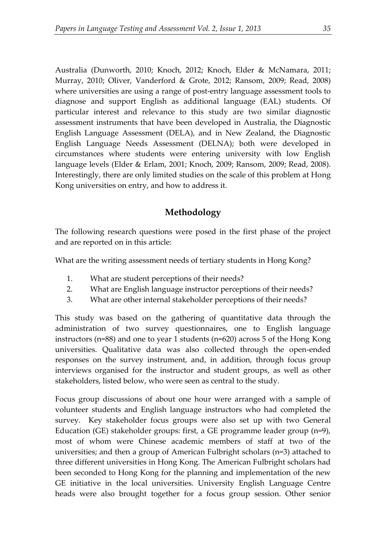Australia (Dunworth, 2010; Knoch, 2012; Knoch, Elder & McNamara, 2011; Murray, 2010; Oliver, Vanderford & Grote, 2012; Ransom, 2009; Read, 2008) where universities are using a range of post-entry language assessment tools to diagnose and support English as additional language (EAL) students. Of particular interest and relevance to this study are two similar diagnostic assessment instruments that have been developed in Australia, the Diagnostic English Language Assessment (DELA), and in New Zealand, the Diagnostic English Language Needs Assessment (DELNA); both were developed in circumstances where students were entering university with low English language levels (Elder & Erlam, 2001; Knoch, 2009; Ransom, 2009; Read, 2008). Interestingly, there are only limited studies on the scale of this problem at Hong Kong universities on entry, and how to address it.

# **Methodology**

The following research questions were posed in the first phase of the project and are reported on in this article:

What are the writing assessment needs of tertiary students in Hong Kong?

- 1. What are student perceptions of their needs?
- 2. What are English language instructor perceptions of their needs?
- 3. What are other internal stakeholder perceptions of their needs?

This study was based on the gathering of quantitative data through the administration of two survey questionnaires, one to English language instructors (n=88) and one to year 1 students (n=620) across 5 of the Hong Kong universities. Qualitative data was also collected through the open-ended responses on the survey instrument, and, in addition, through focus group interviews organised for the instructor and student groups, as well as other stakeholders, listed below, who were seen as central to the study.

Focus group discussions of about one hour were arranged with a sample of volunteer students and English language instructors who had completed the survey. Key stakeholder focus groups were also set up with two General Education (GE) stakeholder groups: first, a GE programme leader group (n=9), most of whom were Chinese academic members of staff at two of the universities; and then a group of American Fulbright scholars (n=3) attached to three different universities in Hong Kong. The American Fulbright scholars had been seconded to Hong Kong for the planning and implementation of the new GE initiative in the local universities. University English Language Centre heads were also brought together for a focus group session. Other senior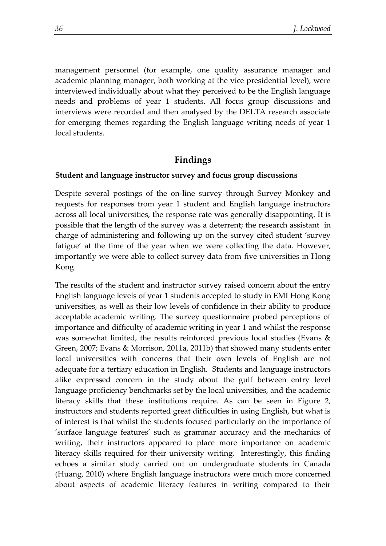management personnel (for example, one quality assurance manager and academic planning manager, both working at the vice presidential level), were interviewed individually about what they perceived to be the English language needs and problems of year 1 students. All focus group discussions and interviews were recorded and then analysed by the DELTA research associate for emerging themes regarding the English language writing needs of year 1 local students.

### **Findings**

#### **Student and language instructor survey and focus group discussions**

Despite several postings of the on-line survey through Survey Monkey and requests for responses from year 1 student and English language instructors across all local universities, the response rate was generally disappointing. It is possible that the length of the survey was a deterrent; the research assistant in charge of administering and following up on the survey cited student 'survey fatigue' at the time of the year when we were collecting the data. However, importantly we were able to collect survey data from five universities in Hong Kong.

The results of the student and instructor survey raised concern about the entry English language levels of year 1 students accepted to study in EMI Hong Kong universities, as well as their low levels of confidence in their ability to produce acceptable academic writing. The survey questionnaire probed perceptions of importance and difficulty of academic writing in year 1 and whilst the response was somewhat limited, the results reinforced previous local studies (Evans & Green, 2007; Evans & Morrison, 2011a, 2011b) that showed many students enter local universities with concerns that their own levels of English are not adequate for a tertiary education in English. Students and language instructors alike expressed concern in the study about the gulf between entry level language proficiency benchmarks set by the local universities, and the academic literacy skills that these institutions require. As can be seen in Figure 2, instructors and students reported great difficulties in using English, but what is of interest is that whilst the students focused particularly on the importance of 'surface language features' such as grammar accuracy and the mechanics of writing, their instructors appeared to place more importance on academic literacy skills required for their university writing. Interestingly, this finding echoes a similar study carried out on undergraduate students in Canada (Huang, 2010) where English language instructors were much more concerned about aspects of academic literacy features in writing compared to their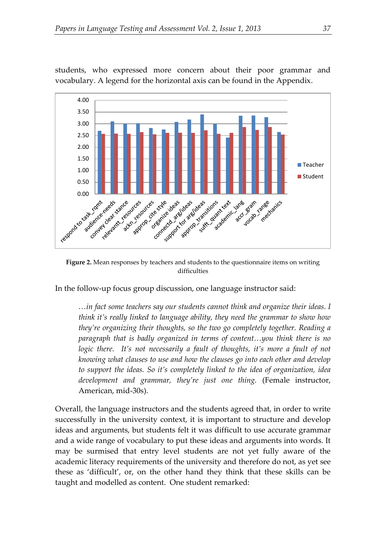

students, who expressed more concern about their poor grammar and vocabulary. A legend for the horizontal axis can be found in the Appendix.

**Figure 2.** Mean responses by teachers and students to the questionnaire items on writing difficulties

In the follow-up focus group discussion, one language instructor said:

*…in fact some teachers say our students cannot think and organize their ideas. I think it's really linked to language ability, they need the grammar to show how they're organizing their thoughts, so the two go completely together. Reading a paragraph that is badly organized in terms of content…you think there is no logic there.* It's not necessarily a fault of thoughts, it's more a fault of not *knowing what clauses to use and how the clauses go into each other and develop to support the ideas. So it's completely linked to the idea of organization, idea development and grammar, they're just one thing.* (Female instructor, American, mid-30s).

Overall, the language instructors and the students agreed that, in order to write successfully in the university context, it is important to structure and develop ideas and arguments, but students felt it was difficult to use accurate grammar and a wide range of vocabulary to put these ideas and arguments into words. It may be surmised that entry level students are not yet fully aware of the academic literacy requirements of the university and therefore do not, as yet see these as 'difficult', or, on the other hand they think that these skills can be taught and modelled as content. One student remarked: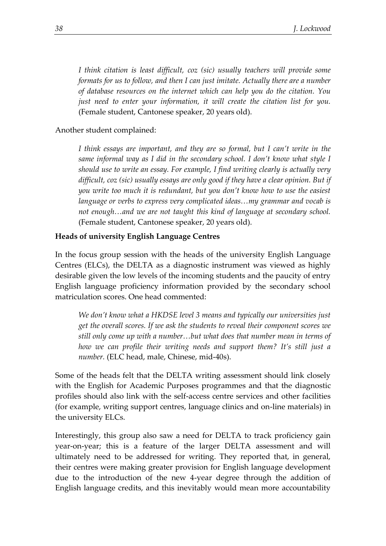*I think citation is least difficult, coz (sic) usually teachers will provide some formats for us to follow, and then I can just imitate. Actually there are a number of database resources on the internet which can help you do the citation. You just need to enter your information, it will create the citation list for you.* (Female student, Cantonese speaker, 20 years old).

#### Another student complained:

*I think essays are important, and they are so formal, but I can't write in the same informal way as I did in the secondary school. I don't know what style I should use to write an essay. For example, I find writing clearly is actually very difficult, coz (sic) usually essays are only good if they have a clear opinion. But if you write too much it is redundant, but you don't know how to use the easiest language or verbs to express very complicated ideas…my grammar and vocab is not enough…and we are not taught this kind of language at secondary school.* (Female student, Cantonese speaker, 20 years old).

#### **Heads of university English Language Centres**

In the focus group session with the heads of the university English Language Centres (ELCs), the DELTA as a diagnostic instrument was viewed as highly desirable given the low levels of the incoming students and the paucity of entry English language proficiency information provided by the secondary school matriculation scores. One head commented:

*We don't know what a HKDSE level 3 means and typically our universities just get the overall scores. If we ask the students to reveal their component scores we still only come up with a number…but what does that number mean in terms of how we can profile their writing needs and support them? It's still just a number.* (ELC head, male, Chinese, mid-40s).

Some of the heads felt that the DELTA writing assessment should link closely with the English for Academic Purposes programmes and that the diagnostic profiles should also link with the self-access centre services and other facilities (for example, writing support centres, language clinics and on-line materials) in the university ELCs.

Interestingly, this group also saw a need for DELTA to track proficiency gain year-on-year; this is a feature of the larger DELTA assessment and will ultimately need to be addressed for writing. They reported that, in general, their centres were making greater provision for English language development due to the introduction of the new 4-year degree through the addition of English language credits, and this inevitably would mean more accountability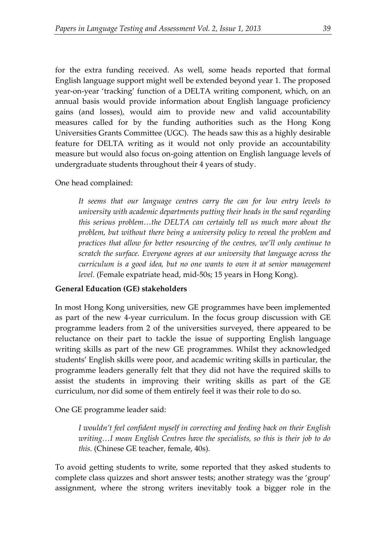for the extra funding received. As well, some heads reported that formal English language support might well be extended beyond year 1. The proposed year-on-year 'tracking' function of a DELTA writing component, which, on an annual basis would provide information about English language proficiency gains (and losses), would aim to provide new and valid accountability measures called for by the funding authorities such as the Hong Kong Universities Grants Committee (UGC). The heads saw this as a highly desirable feature for DELTA writing as it would not only provide an accountability measure but would also focus on-going attention on English language levels of undergraduate students throughout their 4 years of study.

One head complained:

*It seems that our language centres carry the can for low entry levels to university with academic departments putting their heads in the sand regarding this serious problem…the DELTA can certainly tell us much more about the problem, but without there being a university policy to reveal the problem and practices that allow for better resourcing of the centres, we'll only continue to scratch the surface. Everyone agrees at our university that language across the curriculum is a good idea, but no one wants to own it at senior management level.* (Female expatriate head, mid-50s; 15 years in Hong Kong).

#### **General Education (GE) stakeholders**

In most Hong Kong universities, new GE programmes have been implemented as part of the new 4-year curriculum. In the focus group discussion with GE programme leaders from 2 of the universities surveyed, there appeared to be reluctance on their part to tackle the issue of supporting English language writing skills as part of the new GE programmes. Whilst they acknowledged students' English skills were poor, and academic writing skills in particular, the programme leaders generally felt that they did not have the required skills to assist the students in improving their writing skills as part of the GE curriculum, nor did some of them entirely feel it was their role to do so.

One GE programme leader said:

*I wouldn't feel confident myself in correcting and feeding back on their English writing…I mean English Centres have the specialists, so this is their job to do this.* (Chinese GE teacher, female, 40s).

To avoid getting students to write, some reported that they asked students to complete class quizzes and short answer tests; another strategy was the 'group' assignment, where the strong writers inevitably took a bigger role in the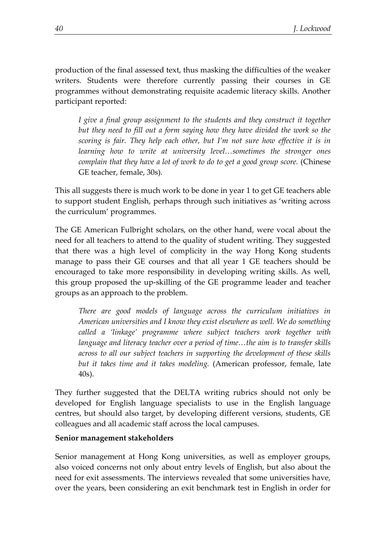production of the final assessed text, thus masking the difficulties of the weaker writers. Students were therefore currently passing their courses in GE programmes without demonstrating requisite academic literacy skills. Another participant reported:

*I* give a final group assignment to the students and they construct it together *but they need to fill out a form saying how they have divided the work so the scoring is fair. They help each other, but I'm not sure how effective it is in learning how to write at university level…sometimes the stronger ones complain that they have a lot of work to do to get a good group score.* (Chinese GE teacher, female, 30s).

This all suggests there is much work to be done in year 1 to get GE teachers able to support student English, perhaps through such initiatives as 'writing across the curriculum' programmes.

The GE American Fulbright scholars, on the other hand, were vocal about the need for all teachers to attend to the quality of student writing. They suggested that there was a high level of complicity in the way Hong Kong students manage to pass their GE courses and that all year 1 GE teachers should be encouraged to take more responsibility in developing writing skills. As well, this group proposed the up-skilling of the GE programme leader and teacher groups as an approach to the problem.

*There are good models of language across the curriculum initiatives in American universities and I know they exist elsewhere as well. We do something called a 'linkage' programme where subject teachers work together with language and literacy teacher over a period of time…the aim is to transfer skills across to all our subject teachers in supporting the development of these skills but it takes time and it takes modeling.* (American professor, female, late 40s).

They further suggested that the DELTA writing rubrics should not only be developed for English language specialists to use in the English language centres, but should also target, by developing different versions, students, GE colleagues and all academic staff across the local campuses.

#### **Senior management stakeholders**

Senior management at Hong Kong universities, as well as employer groups, also voiced concerns not only about entry levels of English, but also about the need for exit assessments. The interviews revealed that some universities have, over the years, been considering an exit benchmark test in English in order for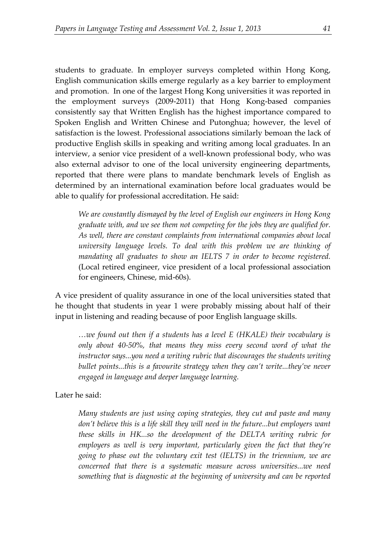students to graduate. In employer surveys completed within Hong Kong, English communication skills emerge regularly as a key barrier to employment and promotion. In one of the largest Hong Kong universities it was reported in the employment surveys (2009-2011) that Hong Kong-based companies consistently say that Written English has the highest importance compared to Spoken English and Written Chinese and Putonghua; however, the level of satisfaction is the lowest. Professional associations similarly bemoan the lack of productive English skills in speaking and writing among local graduates. In an interview, a senior vice president of a well-known professional body, who was also external advisor to one of the local university engineering departments, reported that there were plans to mandate benchmark levels of English as determined by an international examination before local graduates would be able to qualify for professional accreditation. He said:

*We are constantly dismayed by the level of English our engineers in Hong Kong graduate with, and we see them not competing for the jobs they are qualified for. As well, there are constant complaints from international companies about local university language levels. To deal with this problem we are thinking of mandating all graduates to show an IELTS 7 in order to become registered.* (Local retired engineer, vice president of a local professional association for engineers, Chinese, mid-60s).

A vice president of quality assurance in one of the local universities stated that he thought that students in year 1 were probably missing about half of their input in listening and reading because of poor English language skills.

*…we found out then if a students has a level E (HKALE) their vocabulary is only about 40-50%, that means they miss every second word of what the instructor says...you need a writing rubric that discourages the students writing bullet points...this is a favourite strategy when they can't write...they've never engaged in language and deeper language learning.*

Later he said:

*Many students are just using coping strategies, they cut and paste and many don't believe this is a life skill they will need in the future...but employers want these skills in HK...so the development of the DELTA writing rubric for employers as well is very important, particularly given the fact that they're going to phase out the voluntary exit test (IELTS) in the triennium, we are concerned that there is a systematic measure across universities...we need something that is diagnostic at the beginning of university and can be reported*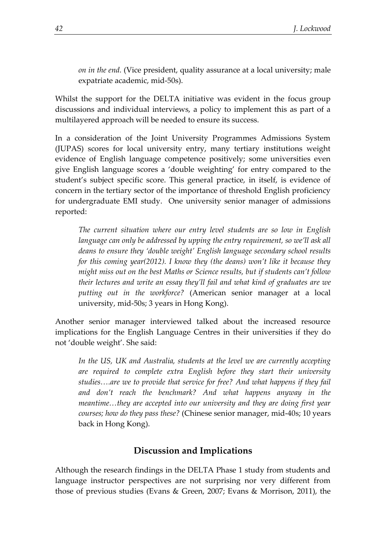*on in the end.* (Vice president, quality assurance at a local university; male expatriate academic, mid-50s).

Whilst the support for the DELTA initiative was evident in the focus group discussions and individual interviews, a policy to implement this as part of a multilayered approach will be needed to ensure its success.

In a consideration of the Joint University Programmes Admissions System (JUPAS) scores for local university entry, many tertiary institutions weight evidence of English language competence positively; some universities even give English language scores a 'double weighting' for entry compared to the student's subject specific score. This general practice, in itself, is evidence of concern in the tertiary sector of the importance of threshold English proficiency for undergraduate EMI study. One university senior manager of admissions reported:

*The current situation where our entry level students are so low in English language can only be addressed by upping the entry requirement, so we'll ask all deans to ensure they 'double weight' English language secondary school results for this coming year(2012). I know they (the deans) won't like it because they might miss out on the best Maths or Science results, but if students can't follow their lectures and write an essay they'll fail and what kind of graduates are we putting out in the workforce?* (American senior manager at a local university, mid-50s; 3 years in Hong Kong).

Another senior manager interviewed talked about the increased resource implications for the English Language Centres in their universities if they do not 'double weight'. She said:

*In the US, UK and Australia, students at the level we are currently accepting are required to complete extra English before they start their university studies….are we to provide that service for free? And what happens if they fail and don't reach the benchmark? And what happens anyway in the meantime…they are accepted into our university and they are doing first year courses; how do they pass these?* (Chinese senior manager, mid-40s; 10 years back in Hong Kong).

# **Discussion and Implications**

Although the research findings in the DELTA Phase 1 study from students and language instructor perspectives are not surprising nor very different from those of previous studies (Evans & Green, 2007; Evans & Morrison, 2011), the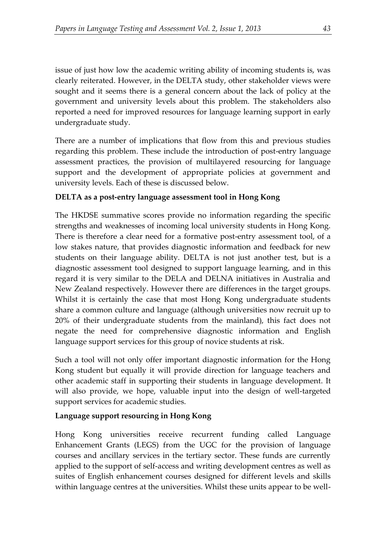issue of just how low the academic writing ability of incoming students is, was clearly reiterated. However, in the DELTA study, other stakeholder views were sought and it seems there is a general concern about the lack of policy at the government and university levels about this problem. The stakeholders also reported a need for improved resources for language learning support in early undergraduate study.

There are a number of implications that flow from this and previous studies regarding this problem. These include the introduction of post-entry language assessment practices, the provision of multilayered resourcing for language support and the development of appropriate policies at government and university levels. Each of these is discussed below.

# **DELTA as a post-entry language assessment tool in Hong Kong**

The HKDSE summative scores provide no information regarding the specific strengths and weaknesses of incoming local university students in Hong Kong. There is therefore a clear need for a formative post-entry assessment tool, of a low stakes nature, that provides diagnostic information and feedback for new students on their language ability. DELTA is not just another test, but is a diagnostic assessment tool designed to support language learning, and in this regard it is very similar to the DELA and DELNA initiatives in Australia and New Zealand respectively. However there are differences in the target groups. Whilst it is certainly the case that most Hong Kong undergraduate students share a common culture and language (although universities now recruit up to 20% of their undergraduate students from the mainland), this fact does not negate the need for comprehensive diagnostic information and English language support services for this group of novice students at risk.

Such a tool will not only offer important diagnostic information for the Hong Kong student but equally it will provide direction for language teachers and other academic staff in supporting their students in language development. It will also provide, we hope, valuable input into the design of well-targeted support services for academic studies.

# **Language support resourcing in Hong Kong**

Hong Kong universities receive recurrent funding called Language Enhancement Grants (LEGS) from the UGC for the provision of language courses and ancillary services in the tertiary sector. These funds are currently applied to the support of self-access and writing development centres as well as suites of English enhancement courses designed for different levels and skills within language centres at the universities. Whilst these units appear to be well-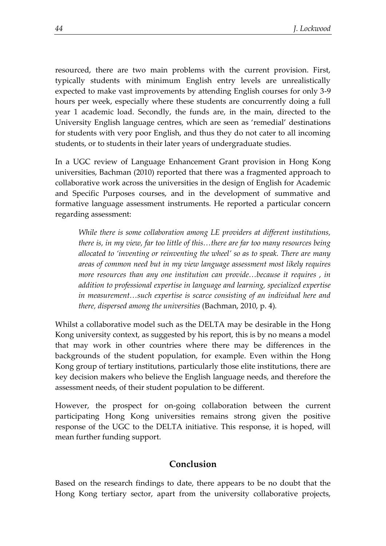resourced, there are two main problems with the current provision. First, typically students with minimum English entry levels are unrealistically expected to make vast improvements by attending English courses for only 3-9 hours per week, especially where these students are concurrently doing a full year 1 academic load. Secondly, the funds are, in the main, directed to the University English language centres, which are seen as 'remedial' destinations for students with very poor English, and thus they do not cater to all incoming students, or to students in their later years of undergraduate studies.

In a UGC review of Language Enhancement Grant provision in Hong Kong universities, Bachman (2010) reported that there was a fragmented approach to collaborative work across the universities in the design of English for Academic and Specific Purposes courses, and in the development of summative and formative language assessment instruments. He reported a particular concern regarding assessment:

*While there is some collaboration among LE providers at different institutions, there is, in my view, far too little of this…there are far too many resources being allocated to 'inventing or reinventing the wheel' so as to speak. There are many areas of common need but in my view language assessment most likely requires more resources than any one institution can provide…because it requires , in addition to professional expertise in language and learning, specialized expertise in measurement…such expertise is scarce consisting of an individual here and there, dispersed among the universities* (Bachman, 2010, p. 4)*.*

Whilst a collaborative model such as the DELTA may be desirable in the Hong Kong university context, as suggested by his report, this is by no means a model that may work in other countries where there may be differences in the backgrounds of the student population, for example. Even within the Hong Kong group of tertiary institutions, particularly those elite institutions, there are key decision makers who believe the English language needs, and therefore the assessment needs, of their student population to be different.

However, the prospect for on-going collaboration between the current participating Hong Kong universities remains strong given the positive response of the UGC to the DELTA initiative. This response, it is hoped, will mean further funding support.

### **Conclusion**

Based on the research findings to date, there appears to be no doubt that the Hong Kong tertiary sector, apart from the university collaborative projects,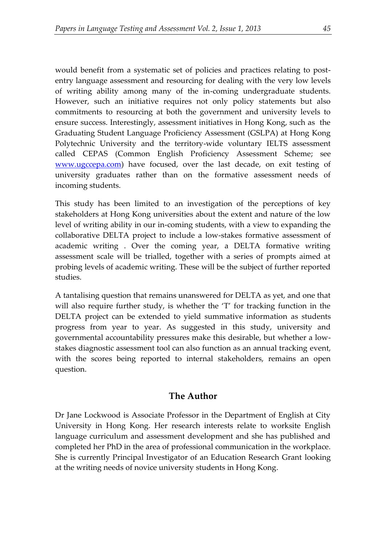would benefit from a systematic set of policies and practices relating to postentry language assessment and resourcing for dealing with the very low levels of writing ability among many of the in-coming undergraduate students. However, such an initiative requires not only policy statements but also commitments to resourcing at both the government and university levels to ensure success. Interestingly, assessment initiatives in Hong Kong, such as the Graduating Student Language Proficiency Assessment (GSLPA) at Hong Kong Polytechnic University and the territory-wide voluntary IELTS assessment called CEPAS (Common English Proficiency Assessment Scheme; see [www.ugccepa.com\)](http://www.ugccepa.com/) have focused, over the last decade, on exit testing of university graduates rather than on the formative assessment needs of incoming students.

This study has been limited to an investigation of the perceptions of key stakeholders at Hong Kong universities about the extent and nature of the low level of writing ability in our in-coming students, with a view to expanding the collaborative DELTA project to include a low-stakes formative assessment of academic writing . Over the coming year, a DELTA formative writing assessment scale will be trialled, together with a series of prompts aimed at probing levels of academic writing. These will be the subject of further reported studies.

A tantalising question that remains unanswered for DELTA as yet, and one that will also require further study, is whether the 'T' for tracking function in the DELTA project can be extended to yield summative information as students progress from year to year. As suggested in this study, university and governmental accountability pressures make this desirable, but whether a lowstakes diagnostic assessment tool can also function as an annual tracking event, with the scores being reported to internal stakeholders, remains an open question.

# **The Author**

Dr Jane Lockwood is Associate Professor in the Department of English at City University in Hong Kong. Her research interests relate to worksite English language curriculum and assessment development and she has published and completed her PhD in the area of professional communication in the workplace. She is currently Principal Investigator of an Education Research Grant looking at the writing needs of novice university students in Hong Kong.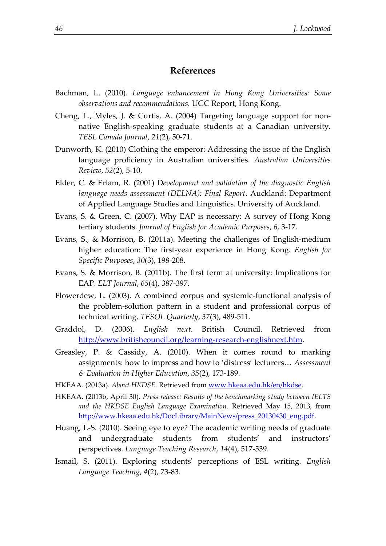#### **References**

- Bachman, L. (2010). *Language enhancement in Hong Kong Universities: Some observations and recommendations.* UGC Report, Hong Kong.
- Cheng, L., Myles, J. & Curtis, A. (2004) Targeting language support for nonnative English-speaking graduate students at a Canadian university. *TESL Canada Journal*, *21*(2), 50-71.
- Dunworth, K. (2010) Clothing the emperor: Addressing the issue of the English language proficiency in Australian universities. *Australian Universities Review*, *52*(2), 5-10.
- Elder, C. & Erlam, R. (2001) D*evelopment and validation of the diagnostic English language needs assessment (DELNA): Final Report*. Auckland: Department of Applied Language Studies and Linguistics. University of Auckland.
- Evans, S. & Green, C. (2007). Why EAP is necessary: A survey of Hong Kong tertiary students. *Journal of English for Academic Purposes*, *6*, 3-17.
- Evans, S., & Morrison, B. (2011a). Meeting the challenges of English-medium higher education: The first-year experience in Hong Kong. *English for Specific Purposes*, *30*(3), 198-208.
- Evans, S. & Morrison, B. (2011b). The first term at university: Implications for EAP. *ELT Journal*, *65*(4), 387-397.
- Flowerdew, L. (2003). A combined corpus and systemic-functional analysis of the problem-solution pattern in a student and professional corpus of technical writing, *TESOL Quarterly*, *37*(3), 489-511.
- Graddol, D. (2006). *English next*. British Council. Retrieved from [http://www.britishcouncil.org/learning-research-englishnext.htm.](http://www.britishcouncil.org/learning-research-englishnext.htm)
- Greasley, P. & Cassidy, A. (2010). When it comes round to marking assignments: how to impress and how to 'distress' lecturers… *Assessment & Evaluation in Higher Education*, *35*(2), 173-189.
- HKEAA. (2013a). *About HKDSE.* Retrieved fro[m www.hkeaa.edu.hk/en/hkdse.](http://www.hkeaa.edu.hk/en/hkdse)
- HKEAA. (2013b, April 30). *Press release: Results of the benchmarking study between IELTS and the HKDSE English Language Examination*. Retrieved May 15, 2013, from [http://www.hkeaa.edu.hk/DocLibrary/MainNews/press\\_20130430\\_eng.pdf.](http://www.hkeaa.edu.hk/DocLibrary/MainNews/press_20130430_eng.pdf)
- Huang, L-S. (2010). Seeing eye to eye? The academic writing needs of graduate and undergraduate students from students' and instructors' perspectives. *Language Teaching Research*, *14*(4), 517-539.
- Ismail, S. (2011). Exploring students' perceptions of ESL writing. *English Language Teaching*, *4*(2), 73-83.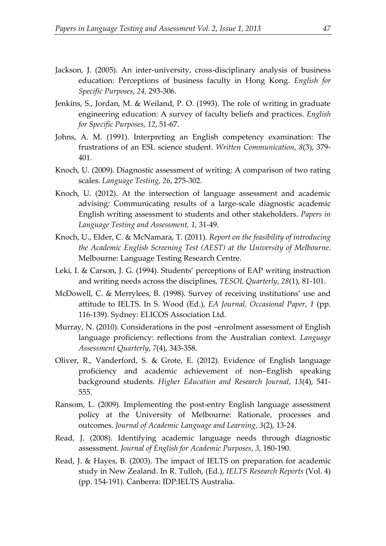- Jackson, J. (2005). An inter-university, cross-disciplinary analysis of business education: Perceptions of business faculty in Hong Kong. *English for Specific Purposes*, *24*, 293-306.
- Jenkins, S., Jordan, M. & Weiland, P. O. (1993). The role of writing in graduate engineering education: A survey of faculty beliefs and practices. *English for Specific Purposes*, *12*, 51-67.
- Johns, A. M. (1991). Interpreting an English competency examination: The frustrations of an ESL science student. *Written Communication*, *8*(3), 379- 401.
- Knoch, U. (2009). Diagnostic assessment of writing: A comparison of two rating scales. *Language Testing*, *26*, 275-302.
- Knoch, U. (2012). At the intersection of language assessment and academic advising: Communicating results of a large-scale diagnostic academic English writing assessment to students and other stakeholders. *Papers in Language Testing and Assessment, 1*, 31-49.
- Knoch, U., Elder, C. & McNamara, T. (2011). *Report on the feasibility of introducing the Academic English Screening Test (AEST) at the University of Melbourne*. Melbourne: Language Testing Research Centre.
- Leki, I. & Carson, J. G. (1994). Students' perceptions of EAP writing instruction and writing needs across the disciplines, *TESOL Quarterly*, *28*(1), 81-101.
- McDowell, C. & Merrylees, B. (1998). Survey of receiving institutions' use and attitude to IELTS. In S. Wood (Ed.), *EA Journal, Occasional Paper*, *1* (pp. 116-139). Sydney: ELICOS Association Ltd.
- Murray, N. (2010). Considerations in the post –enrolment assessment of English language proficiency: reflections from the Australian context. *Language Assessment Quarterly*, *7*(4), 343-358.
- Oliver, R., Vanderford, S. & Grote, E. (2012). Evidence of English language proficiency and academic achievement of non–English speaking background students. *Higher Education and Research Journal*, *13*(4), 541- 555.
- Ransom, L. (2009). Implementing the post-entry English language assessment policy at the University of Melbourne: Rationale, processes and outcomes. *Journal of Academic Language and Learning*, *3*(2), 13-24.
- Read, J. (2008). Identifying academic language needs through diagnostic assessment. *Journal of English for Academic Purposes*, *3*, 180-190.
- Read, J. & Hayes, B. (2003). The impact of IELTS on preparation for academic study in New Zealand. In R. Tulloh, (Ed.), *IELTS Research Reports* (Vol. 4) (pp. 154-191)*.* Canberra: IDP:IELTS Australia.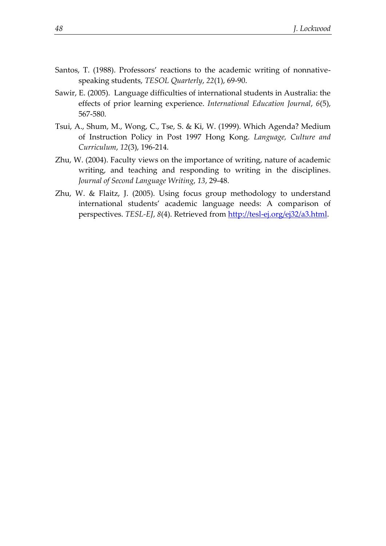- Santos, T. (1988). Professors' reactions to the academic writing of nonnativespeaking students, *TESOL Quarterly*, *22*(1), 69-90.
- Sawir, E. (2005). Language difficulties of international students in Australia: the effects of prior learning experience. *International Education Journal*, *6*(5), 567-580.
- Tsui, A., Shum, M., Wong, C., Tse, S. & Ki, W. (1999). Which Agenda? Medium of Instruction Policy in Post 1997 Hong Kong. *Language, Culture and Curriculum*, *12*(3), 196-214.
- Zhu, W. (2004). Faculty views on the importance of writing, nature of academic writing, and teaching and responding to writing in the disciplines. *Journal of Second Language Writing*, *13*, 29-48.
- Zhu, W. & Flaitz, J. (2005). Using focus group methodology to understand international students' academic language needs: A comparison of perspectives. *TESL-EJ*, *8*(4). Retrieved from [http://tesl-ej.org/ej32/a3.html.](http://tesl-ej.org/ej32/a3.html)